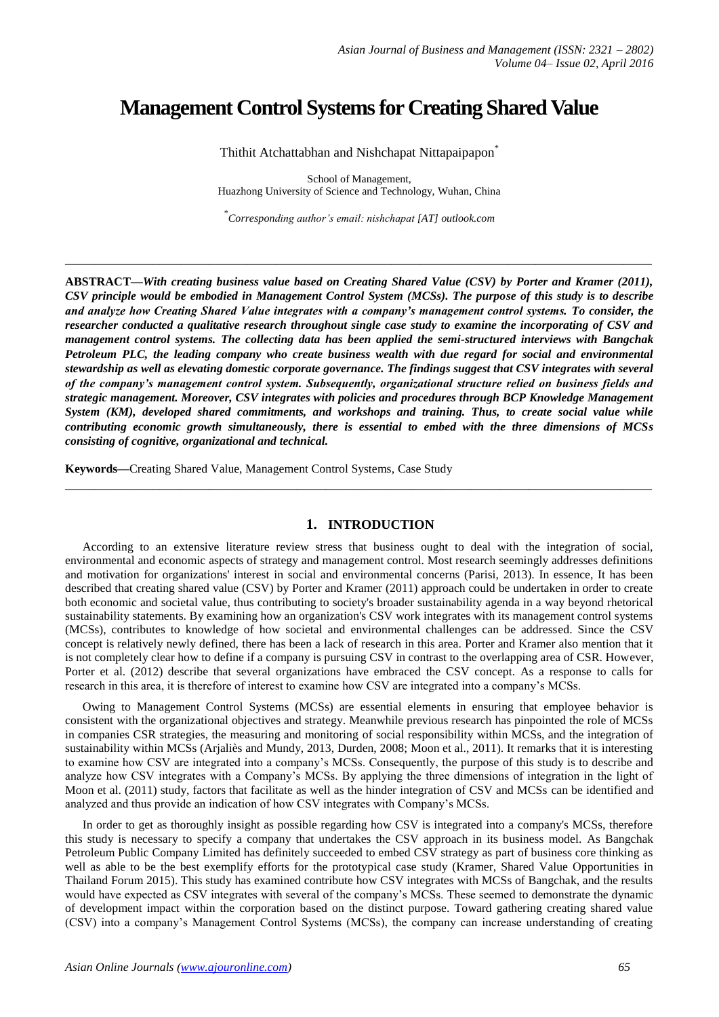# **Management Control Systems for Creating Shared Value**

Thithit Atchattabhan and Nishchapat Nittapaipapon<sup>\*</sup>

School of Management, Huazhong University of Science and Technology, Wuhan, China

\* *Corresponding author's email: nishchapat [AT] outlook.com*

**\_\_\_\_\_\_\_\_\_\_\_\_\_\_\_\_\_\_\_\_\_\_\_\_\_\_\_\_\_\_\_\_\_\_\_\_\_\_\_\_\_\_\_\_\_\_\_\_\_\_\_\_\_\_\_\_\_\_\_\_\_\_\_\_\_\_\_\_\_\_\_\_\_\_\_\_\_\_\_\_\_**

**ABSTRACT—***With creating business value based on Creating Shared Value (CSV) by Porter and Kramer (2011), CSV principle would be embodied in Management Control System (MCSs). The purpose of this study is to describe and analyze how Creating Shared Value integrates with a company's management control systems. To consider, the researcher conducted a qualitative research throughout single case study to examine the incorporating of CSV and management control systems. The collecting data has been applied the semi-structured interviews with Bangchak Petroleum PLC, the leading company who create business wealth with due regard for social and environmental stewardship as well as elevating domestic corporate governance. The findings suggest that CSV integrates with several of the company's management control system. Subsequently, organizational structure relied on business fields and strategic management. Moreover, CSV integrates with policies and procedures through BCP Knowledge Management System (KM), developed shared commitments, and workshops and training. Thus, to create social value while contributing economic growth simultaneously, there is essential to embed with the three dimensions of MCSs consisting of cognitive, organizational and technical.*

**Keywords—**Creating Shared Value, Management Control Systems, Case Study

## **1. INTRODUCTION**

**\_\_\_\_\_\_\_\_\_\_\_\_\_\_\_\_\_\_\_\_\_\_\_\_\_\_\_\_\_\_\_\_\_\_\_\_\_\_\_\_\_\_\_\_\_\_\_\_\_\_\_\_\_\_\_\_\_\_\_\_\_\_\_\_\_\_\_\_\_\_\_\_\_\_\_\_\_\_\_\_\_**

According to an extensive literature review stress that business ought to deal with the integration of social, environmental and economic aspects of strategy and management control. Most research seemingly addresses definitions and motivation for organizations' interest in social and environmental concerns (Parisi, 2013). In essence, It has been described that creating shared value (CSV) by Porter and Kramer (2011) approach could be undertaken in order to create both economic and societal value, thus contributing to society's broader sustainability agenda in a way beyond rhetorical sustainability statements. By examining how an organization's CSV work integrates with its management control systems (MCSs), contributes to knowledge of how societal and environmental challenges can be addressed. Since the CSV concept is relatively newly defined, there has been a lack of research in this area. Porter and Kramer also mention that it is not completely clear how to define if a company is pursuing CSV in contrast to the overlapping area of CSR. However, Porter et al. (2012) describe that several organizations have embraced the CSV concept. As a response to calls for research in this area, it is therefore of interest to examine how CSV are integrated into a company's MCSs.

Owing to Management Control Systems (MCSs) are essential elements in ensuring that employee behavior is consistent with the organizational objectives and strategy. Meanwhile previous research has pinpointed the role of MCSs in companies CSR strategies, the measuring and monitoring of social responsibility within MCSs, and the integration of sustainability within MCSs (Arjaliès and Mundy, 2013, Durden, 2008; Moon et al., 2011). It remarks that it is interesting to examine how CSV are integrated into a company's MCSs. Consequently, the purpose of this study is to describe and analyze how CSV integrates with a Company's MCSs. By applying the three dimensions of integration in the light of Moon et al. (2011) study, factors that facilitate as well as the hinder integration of CSV and MCSs can be identified and analyzed and thus provide an indication of how CSV integrates with Company's MCSs.

In order to get as thoroughly insight as possible regarding how CSV is integrated into a company's MCSs, therefore this study is necessary to specify a company that undertakes the CSV approach in its business model. As Bangchak Petroleum Public Company Limited has definitely succeeded to embed CSV strategy as part of business core thinking as well as able to be the best exemplify efforts for the prototypical case study (Kramer, Shared Value Opportunities in Thailand Forum 2015). This study has examined contribute how CSV integrates with MCSs of Bangchak, and the results would have expected as CSV integrates with several of the company's MCSs. These seemed to demonstrate the dynamic of development impact within the corporation based on the distinct purpose. Toward gathering creating shared value (CSV) into a company's Management Control Systems (MCSs), the company can increase understanding of creating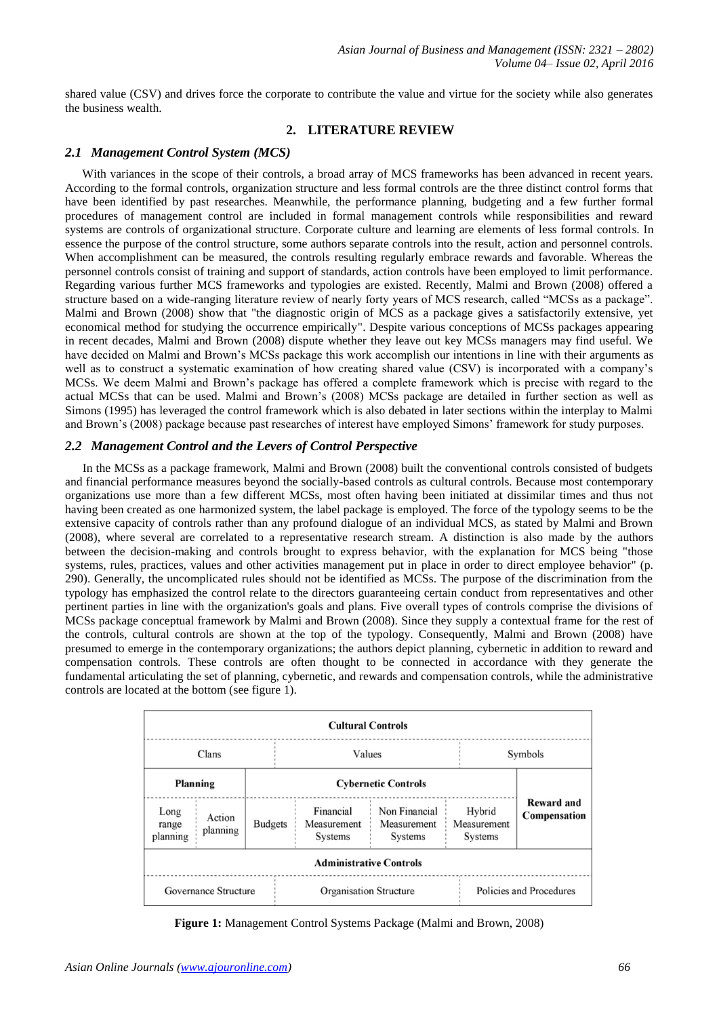shared value (CSV) and drives force the corporate to contribute the value and virtue for the society while also generates the business wealth.

# **2. LITERATURE REVIEW**

## *2.1 Management Control System (MCS)*

With variances in the scope of their controls, a broad array of MCS frameworks has been advanced in recent years. According to the formal controls, organization structure and less formal controls are the three distinct control forms that have been identified by past researches. Meanwhile, the performance planning, budgeting and a few further formal procedures of management control are included in formal management controls while responsibilities and reward systems are controls of organizational structure. Corporate culture and learning are elements of less formal controls. In essence the purpose of the control structure, some authors separate controls into the result, action and personnel controls. When accomplishment can be measured, the controls resulting regularly embrace rewards and favorable. Whereas the personnel controls consist of training and support of standards, action controls have been employed to limit performance. Regarding various further MCS frameworks and typologies are existed. Recently, Malmi and Brown (2008) offered a structure based on a wide-ranging literature review of nearly forty years of MCS research, called "MCSs as a package". Malmi and Brown (2008) show that "the diagnostic origin of MCS as a package gives a satisfactorily extensive, yet economical method for studying the occurrence empirically". Despite various conceptions of MCSs packages appearing in recent decades, Malmi and Brown (2008) dispute whether they leave out key MCSs managers may find useful. We have decided on Malmi and Brown's MCSs package this work accomplish our intentions in line with their arguments as well as to construct a systematic examination of how creating shared value (CSV) is incorporated with a company's MCSs. We deem Malmi and Brown's package has offered a complete framework which is precise with regard to the actual MCSs that can be used. Malmi and Brown's (2008) MCSs package are detailed in further section as well as Simons (1995) has leveraged the control framework which is also debated in later sections within the interplay to Malmi and Brown's (2008) package because past researches of interest have employed Simons' framework for study purposes.

## *2.2 Management Control and the Levers of Control Perspective*

In the MCSs as a package framework, Malmi and Brown (2008) built the conventional controls consisted of budgets and financial performance measures beyond the socially-based controls as cultural controls. Because most contemporary organizations use more than a few different MCSs, most often having been initiated at dissimilar times and thus not having been created as one harmonized system, the label package is employed. The force of the typology seems to be the extensive capacity of controls rather than any profound dialogue of an individual MCS, as stated by Malmi and Brown (2008), where several are correlated to a representative research stream. A distinction is also made by the authors between the decision-making and controls brought to express behavior, with the explanation for MCS being "those systems, rules, practices, values and other activities management put in place in order to direct employee behavior" (p. 290). Generally, the uncomplicated rules should not be identified as MCSs. The purpose of the discrimination from the typology has emphasized the control relate to the directors guaranteeing certain conduct from representatives and other pertinent parties in line with the organization's goals and plans. Five overall types of controls comprise the divisions of MCSs package conceptual framework by Malmi and Brown (2008). Since they supply a contextual frame for the rest of the controls, cultural controls are shown at the top of the typology. Consequently, Malmi and Brown (2008) have presumed to emerge in the contemporary organizations; the authors depict planning, cybernetic in addition to reward and compensation controls. These controls are often thought to be connected in accordance with they generate the fundamental articulating the set of planning, cybernetic, and rewards and compensation controls, while the administrative controls are located at the bottom (see figure 1).



**Figure 1:** Management Control Systems Package (Malmi and Brown, 2008)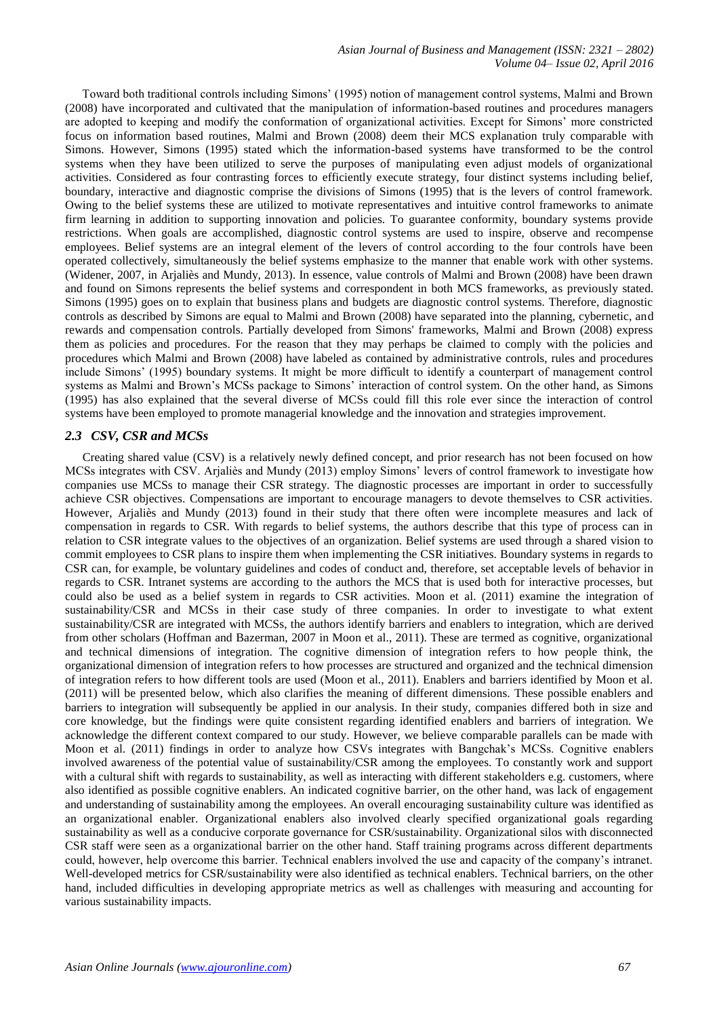*Asian Journal of Business and Management (ISSN: 2321 – 2802) Volume 04– Issue 02, April 2016*

Toward both traditional controls including Simons' (1995) notion of management control systems, Malmi and Brown (2008) have incorporated and cultivated that the manipulation of information-based routines and procedures managers are adopted to keeping and modify the conformation of organizational activities. Except for Simons' more constricted focus on information based routines, Malmi and Brown (2008) deem their MCS explanation truly comparable with Simons. However, Simons (1995) stated which the information-based systems have transformed to be the control systems when they have been utilized to serve the purposes of manipulating even adjust models of organizational activities. Considered as four contrasting forces to efficiently execute strategy, four distinct systems including belief, boundary, interactive and diagnostic comprise the divisions of Simons (1995) that is the levers of control framework. Owing to the belief systems these are utilized to motivate representatives and intuitive control frameworks to animate firm learning in addition to supporting innovation and policies. To guarantee conformity, boundary systems provide restrictions. When goals are accomplished, diagnostic control systems are used to inspire, observe and recompense employees. Belief systems are an integral element of the levers of control according to the four controls have been operated collectively, simultaneously the belief systems emphasize to the manner that enable work with other systems. (Widener, 2007, in Arjaliès and Mundy, 2013). In essence, value controls of Malmi and Brown (2008) have been drawn and found on Simons represents the belief systems and correspondent in both MCS frameworks, as previously stated. Simons (1995) goes on to explain that business plans and budgets are diagnostic control systems. Therefore, diagnostic controls as described by Simons are equal to Malmi and Brown (2008) have separated into the planning, cybernetic, and rewards and compensation controls. Partially developed from Simons' frameworks, Malmi and Brown (2008) express them as policies and procedures. For the reason that they may perhaps be claimed to comply with the policies and procedures which Malmi and Brown (2008) have labeled as contained by administrative controls, rules and procedures include Simons' (1995) boundary systems. It might be more difficult to identify a counterpart of management control systems as Malmi and Brown's MCSs package to Simons' interaction of control system. On the other hand, as Simons (1995) has also explained that the several diverse of MCSs could fill this role ever since the interaction of control systems have been employed to promote managerial knowledge and the innovation and strategies improvement.

#### *2.3 CSV, CSR and MCSs*

Creating shared value (CSV) is a relatively newly defined concept, and prior research has not been focused on how MCSs integrates with CSV. Arjaliès and Mundy (2013) employ Simons' levers of control framework to investigate how companies use MCSs to manage their CSR strategy. The diagnostic processes are important in order to successfully achieve CSR objectives. Compensations are important to encourage managers to devote themselves to CSR activities. However, Arjaliès and Mundy (2013) found in their study that there often were incomplete measures and lack of compensation in regards to CSR. With regards to belief systems, the authors describe that this type of process can in relation to CSR integrate values to the objectives of an organization. Belief systems are used through a shared vision to commit employees to CSR plans to inspire them when implementing the CSR initiatives. Boundary systems in regards to CSR can, for example, be voluntary guidelines and codes of conduct and, therefore, set acceptable levels of behavior in regards to CSR. Intranet systems are according to the authors the MCS that is used both for interactive processes, but could also be used as a belief system in regards to CSR activities. Moon et al. (2011) examine the integration of sustainability/CSR and MCSs in their case study of three companies. In order to investigate to what extent sustainability/CSR are integrated with MCSs, the authors identify barriers and enablers to integration, which are derived from other scholars (Hoffman and Bazerman, 2007 in Moon et al., 2011). These are termed as cognitive, organizational and technical dimensions of integration. The cognitive dimension of integration refers to how people think, the organizational dimension of integration refers to how processes are structured and organized and the technical dimension of integration refers to how different tools are used (Moon et al., 2011). Enablers and barriers identified by Moon et al. (2011) will be presented below, which also clarifies the meaning of different dimensions. These possible enablers and barriers to integration will subsequently be applied in our analysis. In their study, companies differed both in size and core knowledge, but the findings were quite consistent regarding identified enablers and barriers of integration. We acknowledge the different context compared to our study. However, we believe comparable parallels can be made with Moon et al. (2011) findings in order to analyze how CSVs integrates with Bangchak's MCSs. Cognitive enablers involved awareness of the potential value of sustainability/CSR among the employees. To constantly work and support with a cultural shift with regards to sustainability, as well as interacting with different stakeholders e.g. customers, where also identified as possible cognitive enablers. An indicated cognitive barrier, on the other hand, was lack of engagement and understanding of sustainability among the employees. An overall encouraging sustainability culture was identified as an organizational enabler. Organizational enablers also involved clearly specified organizational goals regarding sustainability as well as a conducive corporate governance for CSR/sustainability. Organizational silos with disconnected CSR staff were seen as a organizational barrier on the other hand. Staff training programs across different departments could, however, help overcome this barrier. Technical enablers involved the use and capacity of the company's intranet. Well-developed metrics for CSR/sustainability were also identified as technical enablers. Technical barriers, on the other hand, included difficulties in developing appropriate metrics as well as challenges with measuring and accounting for various sustainability impacts.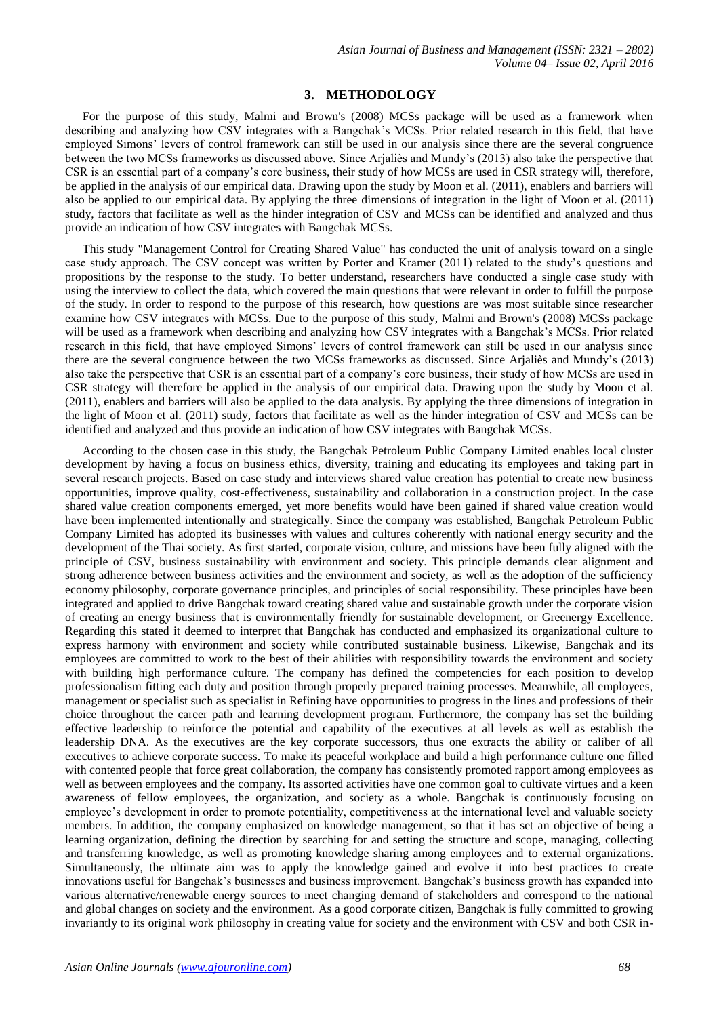#### **3. METHODOLOGY**

For the purpose of this study, Malmi and Brown's (2008) MCSs package will be used as a framework when describing and analyzing how CSV integrates with a Bangchak's MCSs. Prior related research in this field, that have employed Simons' levers of control framework can still be used in our analysis since there are the several congruence between the two MCSs frameworks as discussed above. Since Arjaliès and Mundy's (2013) also take the perspective that CSR is an essential part of a company's core business, their study of how MCSs are used in CSR strategy will, therefore, be applied in the analysis of our empirical data. Drawing upon the study by Moon et al. (2011), enablers and barriers will also be applied to our empirical data. By applying the three dimensions of integration in the light of Moon et al. (2011) study, factors that facilitate as well as the hinder integration of CSV and MCSs can be identified and analyzed and thus provide an indication of how CSV integrates with Bangchak MCSs.

This study "Management Control for Creating Shared Value" has conducted the unit of analysis toward on a single case study approach. The CSV concept was written by Porter and Kramer (2011) related to the study's questions and propositions by the response to the study. To better understand, researchers have conducted a single case study with using the interview to collect the data, which covered the main questions that were relevant in order to fulfill the purpose of the study. In order to respond to the purpose of this research, how questions are was most suitable since researcher examine how CSV integrates with MCSs. Due to the purpose of this study, Malmi and Brown's (2008) MCSs package will be used as a framework when describing and analyzing how CSV integrates with a Bangchak's MCSs. Prior related research in this field, that have employed Simons' levers of control framework can still be used in our analysis since there are the several congruence between the two MCSs frameworks as discussed. Since Arjaliès and Mundy's (2013) also take the perspective that CSR is an essential part of a company's core business, their study of how MCSs are used in CSR strategy will therefore be applied in the analysis of our empirical data. Drawing upon the study by Moon et al. (2011), enablers and barriers will also be applied to the data analysis. By applying the three dimensions of integration in the light of Moon et al. (2011) study, factors that facilitate as well as the hinder integration of CSV and MCSs can be identified and analyzed and thus provide an indication of how CSV integrates with Bangchak MCSs.

According to the chosen case in this study, the Bangchak Petroleum Public Company Limited enables local cluster development by having a focus on business ethics, diversity, training and educating its employees and taking part in several research projects. Based on case study and interviews shared value creation has potential to create new business opportunities, improve quality, cost-effectiveness, sustainability and collaboration in a construction project. In the case shared value creation components emerged, yet more benefits would have been gained if shared value creation would have been implemented intentionally and strategically. Since the company was established, Bangchak Petroleum Public Company Limited has adopted its businesses with values and cultures coherently with national energy security and the development of the Thai society. As first started, corporate vision, culture, and missions have been fully aligned with the principle of CSV, business sustainability with environment and society. This principle demands clear alignment and strong adherence between business activities and the environment and society, as well as the adoption of the sufficiency economy philosophy, corporate governance principles, and principles of social responsibility. These principles have been integrated and applied to drive Bangchak toward creating shared value and sustainable growth under the corporate vision of creating an energy business that is environmentally friendly for sustainable development, or Greenergy Excellence. Regarding this stated it deemed to interpret that Bangchak has conducted and emphasized its organizational culture to express harmony with environment and society while contributed sustainable business. Likewise, Bangchak and its employees are committed to work to the best of their abilities with responsibility towards the environment and society with building high performance culture. The company has defined the competencies for each position to develop professionalism fitting each duty and position through properly prepared training processes. Meanwhile, all employees, management or specialist such as specialist in Refining have opportunities to progress in the lines and professions of their choice throughout the career path and learning development program. Furthermore, the company has set the building effective leadership to reinforce the potential and capability of the executives at all levels as well as establish the leadership DNA. As the executives are the key corporate successors, thus one extracts the ability or caliber of all executives to achieve corporate success. To make its peaceful workplace and build a high performance culture one filled with contented people that force great collaboration, the company has consistently promoted rapport among employees as well as between employees and the company. Its assorted activities have one common goal to cultivate virtues and a keen awareness of fellow employees, the organization, and society as a whole. Bangchak is continuously focusing on employee's development in order to promote potentiality, competitiveness at the international level and valuable society members. In addition, the company emphasized on knowledge management, so that it has set an objective of being a learning organization, defining the direction by searching for and setting the structure and scope, managing, collecting and transferring knowledge, as well as promoting knowledge sharing among employees and to external organizations. Simultaneously, the ultimate aim was to apply the knowledge gained and evolve it into best practices to create innovations useful for Bangchak's businesses and business improvement. Bangchak's business growth has expanded into various alternative/renewable energy sources to meet changing demand of stakeholders and correspond to the national and global changes on society and the environment. As a good corporate citizen, Bangchak is fully committed to growing invariantly to its original work philosophy in creating value for society and the environment with CSV and both CSR in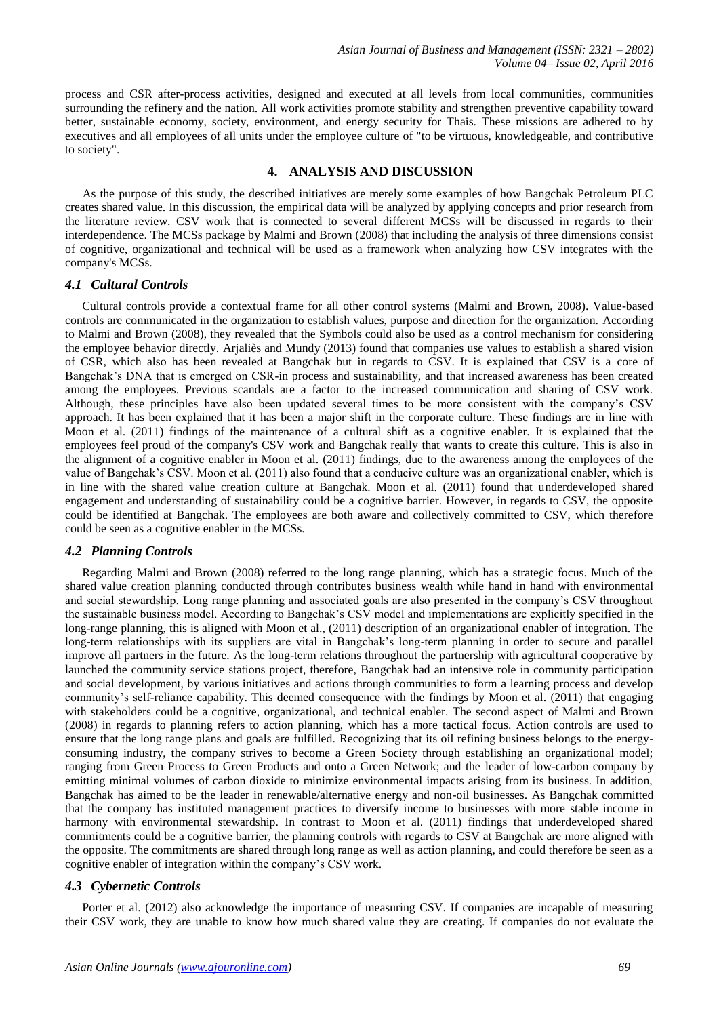process and CSR after-process activities, designed and executed at all levels from local communities, communities surrounding the refinery and the nation. All work activities promote stability and strengthen preventive capability toward better, sustainable economy, society, environment, and energy security for Thais. These missions are adhered to by executives and all employees of all units under the employee culture of "to be virtuous, knowledgeable, and contributive to society".

# **4. ANALYSIS AND DISCUSSION**

As the purpose of this study, the described initiatives are merely some examples of how Bangchak Petroleum PLC creates shared value. In this discussion, the empirical data will be analyzed by applying concepts and prior research from the literature review. CSV work that is connected to several different MCSs will be discussed in regards to their interdependence. The MCSs package by Malmi and Brown (2008) that including the analysis of three dimensions consist of cognitive, organizational and technical will be used as a framework when analyzing how CSV integrates with the company's MCSs.

#### *4.1 Cultural Controls*

Cultural controls provide a contextual frame for all other control systems (Malmi and Brown, 2008). Value-based controls are communicated in the organization to establish values, purpose and direction for the organization. According to Malmi and Brown (2008), they revealed that the Symbols could also be used as a control mechanism for considering the employee behavior directly. Arjaliès and Mundy (2013) found that companies use values to establish a shared vision of CSR, which also has been revealed at Bangchak but in regards to CSV. It is explained that CSV is a core of Bangchak's DNA that is emerged on CSR-in process and sustainability, and that increased awareness has been created among the employees. Previous scandals are a factor to the increased communication and sharing of CSV work. Although, these principles have also been updated several times to be more consistent with the company's CSV approach. It has been explained that it has been a major shift in the corporate culture. These findings are in line with Moon et al. (2011) findings of the maintenance of a cultural shift as a cognitive enabler. It is explained that the employees feel proud of the company's CSV work and Bangchak really that wants to create this culture. This is also in the alignment of a cognitive enabler in Moon et al. (2011) findings, due to the awareness among the employees of the value of Bangchak's CSV. Moon et al. (2011) also found that a conducive culture was an organizational enabler, which is in line with the shared value creation culture at Bangchak. Moon et al. (2011) found that underdeveloped shared engagement and understanding of sustainability could be a cognitive barrier. However, in regards to CSV, the opposite could be identified at Bangchak. The employees are both aware and collectively committed to CSV, which therefore could be seen as a cognitive enabler in the MCSs.

## *4.2 Planning Controls*

Regarding Malmi and Brown (2008) referred to the long range planning, which has a strategic focus. Much of the shared value creation planning conducted through contributes business wealth while hand in hand with environmental and social stewardship. Long range planning and associated goals are also presented in the company's CSV throughout the sustainable business model. According to Bangchak's CSV model and implementations are explicitly specified in the long-range planning, this is aligned with Moon et al., (2011) description of an organizational enabler of integration. The long-term relationships with its suppliers are vital in Bangchak's long-term planning in order to secure and parallel improve all partners in the future. As the long-term relations throughout the partnership with agricultural cooperative by launched the community service stations project, therefore, Bangchak had an intensive role in community participation and social development, by various initiatives and actions through communities to form a learning process and develop community's self-reliance capability. This deemed consequence with the findings by Moon et al. (2011) that engaging with stakeholders could be a cognitive, organizational, and technical enabler. The second aspect of Malmi and Brown (2008) in regards to planning refers to action planning, which has a more tactical focus. Action controls are used to ensure that the long range plans and goals are fulfilled. Recognizing that its oil refining business belongs to the energyconsuming industry, the company strives to become a Green Society through establishing an organizational model; ranging from Green Process to Green Products and onto a Green Network; and the leader of low-carbon company by emitting minimal volumes of carbon dioxide to minimize environmental impacts arising from its business. In addition, Bangchak has aimed to be the leader in renewable/alternative energy and non-oil businesses. As Bangchak committed that the company has instituted management practices to diversify income to businesses with more stable income in harmony with environmental stewardship. In contrast to Moon et al. (2011) findings that underdeveloped shared commitments could be a cognitive barrier, the planning controls with regards to CSV at Bangchak are more aligned with the opposite. The commitments are shared through long range as well as action planning, and could therefore be seen as a cognitive enabler of integration within the company's CSV work.

## *4.3 Cybernetic Controls*

Porter et al. (2012) also acknowledge the importance of measuring CSV. If companies are incapable of measuring their CSV work, they are unable to know how much shared value they are creating. If companies do not evaluate the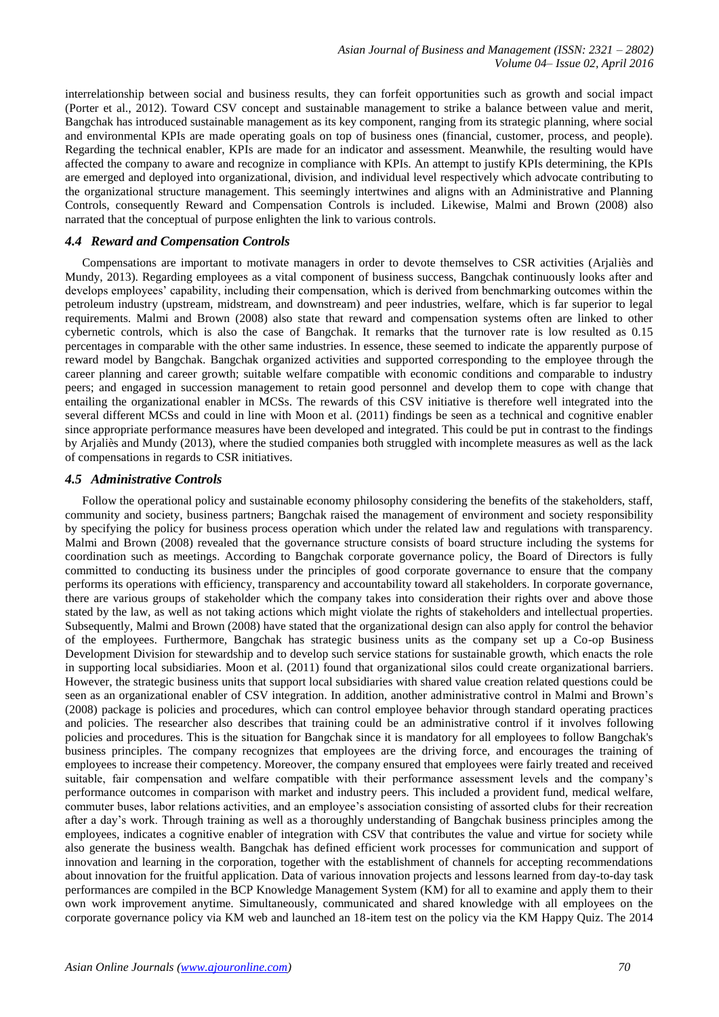interrelationship between social and business results, they can forfeit opportunities such as growth and social impact (Porter et al., 2012). Toward CSV concept and sustainable management to strike a balance between value and merit, Bangchak has introduced sustainable management as its key component, ranging from its strategic planning, where social and environmental KPIs are made operating goals on top of business ones (financial, customer, process, and people). Regarding the technical enabler, KPIs are made for an indicator and assessment. Meanwhile, the resulting would have affected the company to aware and recognize in compliance with KPIs. An attempt to justify KPIs determining, the KPIs are emerged and deployed into organizational, division, and individual level respectively which advocate contributing to the organizational structure management. This seemingly intertwines and aligns with an Administrative and Planning Controls, consequently Reward and Compensation Controls is included. Likewise, Malmi and Brown (2008) also narrated that the conceptual of purpose enlighten the link to various controls.

## *4.4 Reward and Compensation Controls*

Compensations are important to motivate managers in order to devote themselves to CSR activities (Arjaliès and Mundy, 2013). Regarding employees as a vital component of business success, Bangchak continuously looks after and develops employees' capability, including their compensation, which is derived from benchmarking outcomes within the petroleum industry (upstream, midstream, and downstream) and peer industries, welfare, which is far superior to legal requirements. Malmi and Brown (2008) also state that reward and compensation systems often are linked to other cybernetic controls, which is also the case of Bangchak. It remarks that the turnover rate is low resulted as 0.15 percentages in comparable with the other same industries. In essence, these seemed to indicate the apparently purpose of reward model by Bangchak. Bangchak organized activities and supported corresponding to the employee through the career planning and career growth; suitable welfare compatible with economic conditions and comparable to industry peers; and engaged in succession management to retain good personnel and develop them to cope with change that entailing the organizational enabler in MCSs. The rewards of this CSV initiative is therefore well integrated into the several different MCSs and could in line with Moon et al. (2011) findings be seen as a technical and cognitive enabler since appropriate performance measures have been developed and integrated. This could be put in contrast to the findings by Arjaliès and Mundy (2013), where the studied companies both struggled with incomplete measures as well as the lack of compensations in regards to CSR initiatives.

## *4.5 Administrative Controls*

Follow the operational policy and sustainable economy philosophy considering the benefits of the stakeholders, staff, community and society, business partners; Bangchak raised the management of environment and society responsibility by specifying the policy for business process operation which under the related law and regulations with transparency. Malmi and Brown (2008) revealed that the governance structure consists of board structure including the systems for coordination such as meetings. According to Bangchak corporate governance policy, the Board of Directors is fully committed to conducting its business under the principles of good corporate governance to ensure that the company performs its operations with efficiency, transparency and accountability toward all stakeholders. In corporate governance, there are various groups of stakeholder which the company takes into consideration their rights over and above those stated by the law, as well as not taking actions which might violate the rights of stakeholders and intellectual properties. Subsequently, Malmi and Brown (2008) have stated that the organizational design can also apply for control the behavior of the employees. Furthermore, Bangchak has strategic business units as the company set up a Co-op Business Development Division for stewardship and to develop such service stations for sustainable growth, which enacts the role in supporting local subsidiaries. Moon et al. (2011) found that organizational silos could create organizational barriers. However, the strategic business units that support local subsidiaries with shared value creation related questions could be seen as an organizational enabler of CSV integration. In addition, another administrative control in Malmi and Brown's (2008) package is policies and procedures, which can control employee behavior through standard operating practices and policies. The researcher also describes that training could be an administrative control if it involves following policies and procedures. This is the situation for Bangchak since it is mandatory for all employees to follow Bangchak's business principles. The company recognizes that employees are the driving force, and encourages the training of employees to increase their competency. Moreover, the company ensured that employees were fairly treated and received suitable, fair compensation and welfare compatible with their performance assessment levels and the company's performance outcomes in comparison with market and industry peers. This included a provident fund, medical welfare, commuter buses, labor relations activities, and an employee's association consisting of assorted clubs for their recreation after a day's work. Through training as well as a thoroughly understanding of Bangchak business principles among the employees, indicates a cognitive enabler of integration with CSV that contributes the value and virtue for society while also generate the business wealth. Bangchak has defined efficient work processes for communication and support of innovation and learning in the corporation, together with the establishment of channels for accepting recommendations about innovation for the fruitful application. Data of various innovation projects and lessons learned from day-to-day task performances are compiled in the BCP Knowledge Management System (KM) for all to examine and apply them to their own work improvement anytime. Simultaneously, communicated and shared knowledge with all employees on the corporate governance policy via KM web and launched an 18-item test on the policy via the KM Happy Quiz. The 2014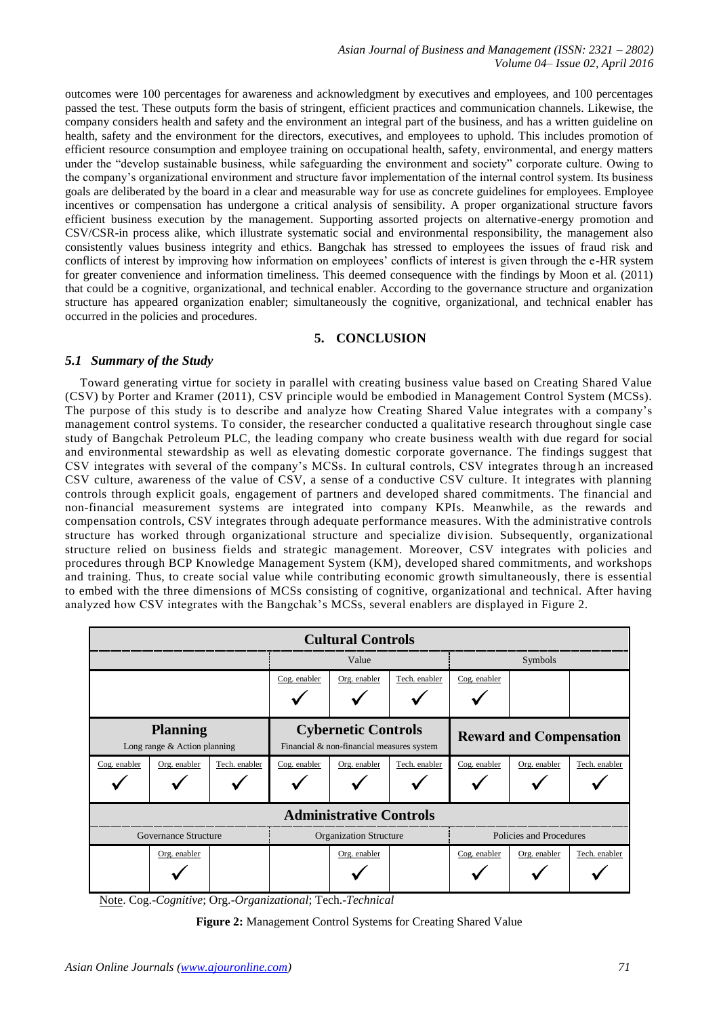*Asian Journal of Business and Management (ISSN: 2321 – 2802) Volume 04– Issue 02, April 2016*

outcomes were 100 percentages for awareness and acknowledgment by executives and employees, and 100 percentages passed the test. These outputs form the basis of stringent, efficient practices and communication channels. Likewise, the company considers health and safety and the environment an integral part of the business, and has a written guideline on health, safety and the environment for the directors, executives, and employees to uphold. This includes promotion of efficient resource consumption and employee training on occupational health, safety, environmental, and energy matters under the "develop sustainable business, while safeguarding the environment and society" corporate culture. Owing to the company's organizational environment and structure favor implementation of the internal control system. Its business goals are deliberated by the board in a clear and measurable way for use as concrete guidelines for employees. Employee incentives or compensation has undergone a critical analysis of sensibility. A proper organizational structure favors efficient business execution by the management. Supporting assorted projects on alternative-energy promotion and CSV/CSR-in process alike, which illustrate systematic social and environmental responsibility, the management also consistently values business integrity and ethics. Bangchak has stressed to employees the issues of fraud risk and conflicts of interest by improving how information on employees' conflicts of interest is given through the e-HR system for greater convenience and information timeliness. This deemed consequence with the findings by Moon et al. (2011) that could be a cognitive, organizational, and technical enabler. According to the governance structure and organization structure has appeared organization enabler; simultaneously the cognitive, organizational, and technical enabler has occurred in the policies and procedures.

## **5. CONCLUSION**

## *5.1 Summary of the Study*

Toward generating virtue for society in parallel with creating business value based on Creating Shared Value (CSV) by Porter and Kramer (2011), CSV principle would be embodied in Management Control System (MCSs). The purpose of this study is to describe and analyze how Creating Shared Value integrates with a company's management control systems. To consider, the researcher conducted a qualitative research throughout single case study of Bangchak Petroleum PLC, the leading company who create business wealth with due regard for social and environmental stewardship as well as elevating domestic corporate governance. The findings suggest that CSV integrates with several of the company's MCSs. In cultural controls, CSV integrates through an increased CSV culture, awareness of the value of CSV, a sense of a conductive CSV culture. It integrates with planning controls through explicit goals, engagement of partners and developed shared commitments. The financial and non-financial measurement systems are integrated into company KPIs. Meanwhile, as the rewards and compensation controls, CSV integrates through adequate performance measures. With the administrative controls structure has worked through organizational structure and specialize division. Subsequently, organizational structure relied on business fields and strategic management. Moreover, CSV integrates with policies and procedures through BCP Knowledge Management System (KM), developed shared commitments, and workshops and training. Thus, to create social value while contributing economic growth simultaneously, there is essential to embed with the three dimensions of MCSs consisting of cognitive, organizational and technical. After having analyzed how CSV integrates with the Bangchak's MCSs, several enablers are displayed in Figure 2.

| <b>Cultural Controls</b>                          |              |               |                                                                         |              |               |                                |              |               |
|---------------------------------------------------|--------------|---------------|-------------------------------------------------------------------------|--------------|---------------|--------------------------------|--------------|---------------|
|                                                   |              |               | Value                                                                   |              |               | Symbols                        |              |               |
|                                                   |              |               | Cog. enabler                                                            | Org. enabler | Tech. enabler | Cog. enabler                   |              |               |
| <b>Planning</b><br>Long range $&$ Action planning |              |               | <b>Cybernetic Controls</b><br>Financial & non-financial measures system |              |               | <b>Reward and Compensation</b> |              |               |
| Cog. enabler                                      | Org. enabler | Tech. enabler | Cog. enabler                                                            | Org. enabler | Tech. enabler | Cog. enabler                   | Org. enabler | Tech. enabler |
| <b>Administrative Controls</b>                    |              |               |                                                                         |              |               |                                |              |               |
| Governance Structure                              |              |               | <b>Organization Structure</b>                                           |              |               | Policies and Procedures        |              |               |
|                                                   | Org. enabler |               |                                                                         | Org. enabler |               | Cog. enabler                   | Org. enabler | Tech. enabler |

Note. Cog.-*Cognitive*; Org.-*Organizational*; Tech.-*Technical*

**Figure 2:** Management Control Systems for Creating Shared Value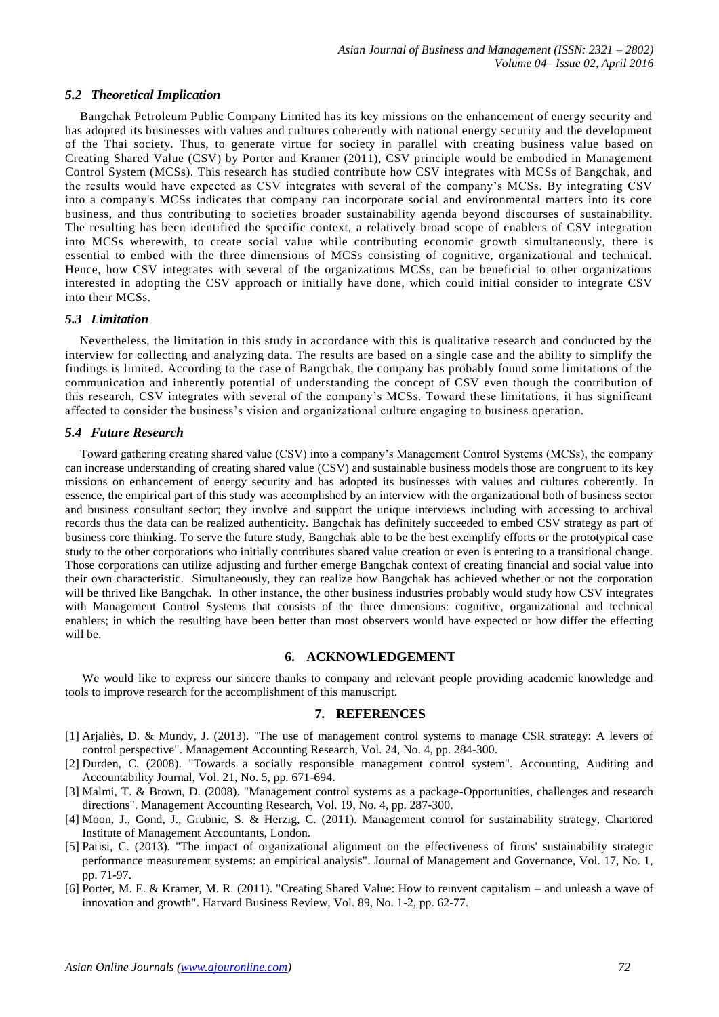## *5.2 Theoretical Implication*

Bangchak Petroleum Public Company Limited has its key missions on the enhancement of energy security and has adopted its businesses with values and cultures coherently with national energy security and the development of the Thai society. Thus, to generate virtue for society in parallel with creating business value based on Creating Shared Value (CSV) by Porter and Kramer (2011), CSV principle would be embodied in Management Control System (MCSs). This research has studied contribute how CSV integrates with MCSs of Bangchak, and the results would have expected as CSV integrates with several of the company's MCSs. By integrating CSV into a company's MCSs indicates that company can incorporate social and environmental matters into its core business, and thus contributing to societies broader sustainability agenda beyond discourses of sustainability. The resulting has been identified the specific context, a relatively broad scope of enablers of CSV integration into MCSs wherewith, to create social value while contributing economic growth simultaneously, there is essential to embed with the three dimensions of MCSs consisting of cognitive, organizational and technical. Hence, how CSV integrates with several of the organizations MCSs, can be beneficial to other organizations interested in adopting the CSV approach or initially have done, which could initial consider to integrate CSV into their MCSs.

#### *5.3 Limitation*

Nevertheless, the limitation in this study in accordance with this is qualitative research and conducted by the interview for collecting and analyzing data. The results are based on a single case and the ability to simplify the findings is limited. According to the case of Bangchak, the company has probably found some limitations of the communication and inherently potential of understanding the concept of CSV even though the contribution of this research, CSV integrates with several of the company's MCSs. Toward these limitations, it has significant affected to consider the business's vision and organizational culture engaging to business operation.

## *5.4 Future Research*

Toward gathering creating shared value (CSV) into a company's Management Control Systems (MCSs), the company can increase understanding of creating shared value (CSV) and sustainable business models those are congruent to its key missions on enhancement of energy security and has adopted its businesses with values and cultures coherently. In essence, the empirical part of this study was accomplished by an interview with the organizational both of business sector and business consultant sector; they involve and support the unique interviews including with accessing to archival records thus the data can be realized authenticity. Bangchak has definitely succeeded to embed CSV strategy as part of business core thinking. To serve the future study, Bangchak able to be the best exemplify efforts or the prototypical case study to the other corporations who initially contributes shared value creation or even is entering to a transitional change. Those corporations can utilize adjusting and further emerge Bangchak context of creating financial and social value into their own characteristic. Simultaneously, they can realize how Bangchak has achieved whether or not the corporation will be thrived like Bangchak. In other instance, the other business industries probably would study how CSV integrates with Management Control Systems that consists of the three dimensions: cognitive, organizational and technical enablers; in which the resulting have been better than most observers would have expected or how differ the effecting will be.

## **6. ACKNOWLEDGEMENT**

We would like to express our sincere thanks to company and relevant people providing academic knowledge and tools to improve research for the accomplishment of this manuscript.

#### **7. REFERENCES**

- [1] Arjaliès, D. & Mundy, J. (2013). "The use of management control systems to manage CSR strategy: A levers of control perspective". Management Accounting Research, Vol. 24, No. 4, pp. 284-300.
- [2] Durden, C. (2008). "Towards a socially responsible management control system". Accounting, Auditing and Accountability Journal, Vol. 21, No. 5, pp. 671-694.
- [3] Malmi, T. & Brown, D. (2008). "Management control systems as a package-Opportunities, challenges and research directions". Management Accounting Research, Vol. 19, No. 4, pp. 287-300.
- [4] Moon, J., Gond, J., Grubnic, S. & Herzig, C. (2011). Management control for sustainability strategy, Chartered Institute of Management Accountants, London.
- [5] Parisi, C. (2013). "The impact of organizational alignment on the effectiveness of firms' sustainability strategic performance measurement systems: an empirical analysis". Journal of Management and Governance, Vol. 17, No. 1, pp. 71-97.
- [6] Porter, M. E. & Kramer, M. R. (2011). "Creating Shared Value: How to reinvent capitalism and unleash a wave of innovation and growth". Harvard Business Review, Vol. 89, No. 1-2, pp. 62-77.